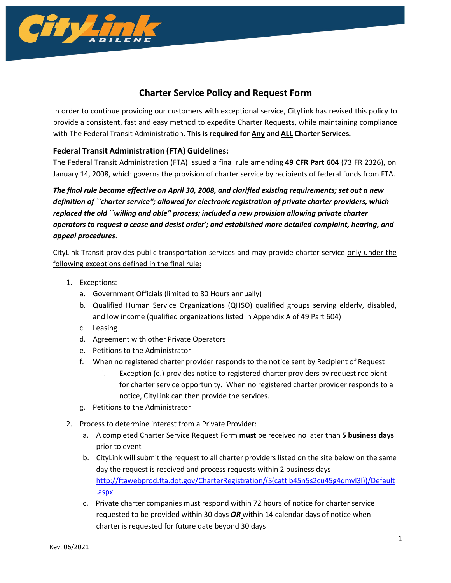

# **Charter Service Policy and Request Form**

In order to continue providing our customers with exceptional service, CityLink has revised this policy to provide a consistent, fast and easy method to expedite Charter Requests, while maintaining compliance with The Federal Transit Administration. **This is required for Any and ALL Charter Services.**

#### **Federal Transit Administration (FTA) Guidelines:**

The Federal Transit Administration (FTA) issued a final rule amending **49 CFR [Part](http://a257.g.akamaitech.net/7/257/2422/01jan20081800/edocket.access.gpo.gov/2008/pdf/08-86.pdf) 604** (73 FR 2326), on January 14, 2008, which governs the provision of charter service by recipients of federal funds from FTA.

*The final rule became effective on April 30, 2008, and clarified existing requirements; set out a new definition of ``charter service''; allowed for electronic registration of private charter providers, which replaced the old ``willing and able'' process; included a new provision allowing private charter operators to request a cease and desist order'; and established more detailed complaint, hearing, and appeal procedures*.

CityLink Transit provides public transportation services and may provide charter service only under the following exceptions defined in the final rule:

- 1. Exceptions:
	- a. Government Officials (limited to 80 Hours annually)
	- b. Qualified Human Service Organizations (QHSO) qualified groups serving elderly, disabled, and low income (qualified organizations listed in Appendix A of 49 Part 604)
	- c. Leasing
	- d. Agreement with other Private Operators
	- e. Petitions to the Administrator
	- f. When no registered charter provider responds to the notice sent by Recipient of Request
		- i. Exception (e.) provides notice to registered charter providers by request recipient for charter service opportunity. When no registered charter provider responds to a notice, CityLink can then provide the services.
	- g. Petitions to the Administrator
- 2. Process to determine interest from a Private Provider:
	- a. A completed Charter Service Request Form **must** be received no later than **5 business days** prior to event
	- b. CityLink will submit the request to all charter providers listed on the site below on the same day the request is received and process requests within 2 business days [http://ftawebprod.fta.dot.gov/CharterRegistration/\(S\(cattib45n5s2cu45g4qmvl3l\)\)/Default](http://ftawebprod.fta.dot.gov/CharterRegistration/(S(cattib45n5s2cu45g4qmvl3l))/Default.aspx) [.aspx](http://ftawebprod.fta.dot.gov/CharterRegistration/(S(cattib45n5s2cu45g4qmvl3l))/Default.aspx)
	- c. Private charter companies must respond within 72 hours of notice for charter service requested to be provided within 30 days *OR* within 14 calendar days of notice when charter is requested for future date beyond 30 days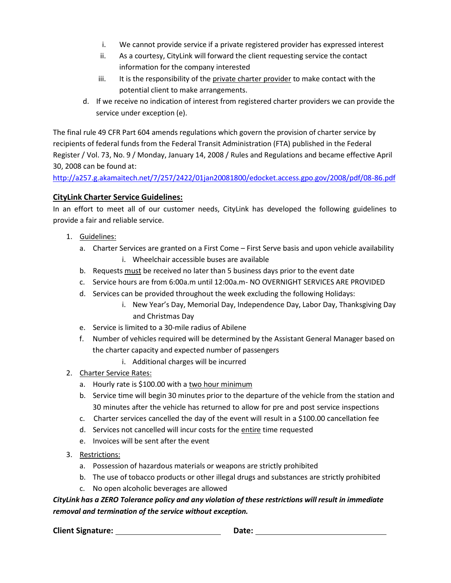- i. We cannot provide service if a private registered provider has expressed interest
- ii. As a courtesy, CityLink will forward the client requesting service the contact information for the company interested
- iii. It is the responsibility of the private charter provider to make contact with the potential client to make arrangements.
- d. If we receive no indication of interest from registered charter providers we can provide the service under exception (e).

The final rule 49 CFR Part 604 amends regulations which govern the provision of charter service by recipients of federal funds from the Federal Transit Administration (FTA) published in the Federal Register / Vol. 73, No. 9 / Monday, January 14, 2008 / Rules and Regulations and became effective April 30, 2008 can be found at:

<http://a257.g.akamaitech.net/7/257/2422/01jan20081800/edocket.access.gpo.gov/2008/pdf/08-86.pdf>

### **CityLink Charter Service Guidelines:**

In an effort to meet all of our customer needs, CityLink has developed the following guidelines to provide a fair and reliable service.

- 1. Guidelines:
	- a. Charter Services are granted on a First Come First Serve basis and upon vehicle availability i. Wheelchair accessible buses are available
	- b. Requests must be received no later than 5 business days prior to the event date
	- c. Service hours are from 6:00a.m until 12:00a.m- NO OVERNIGHT SERVICES ARE PROVIDED
	- d. Services can be provided throughout the week excluding the following Holidays:
		- i. New Year's Day, Memorial Day, Independence Day, Labor Day, Thanksgiving Day and Christmas Day
	- e. Service is limited to a 30-mile radius of Abilene
	- f. Number of vehicles required will be determined by the Assistant General Manager based on the charter capacity and expected number of passengers
		- i. Additional charges will be incurred
- 2. Charter Service Rates:
	- a. Hourly rate is \$100.00 with a two hour minimum
	- b. Service time will begin 30 minutes prior to the departure of the vehicle from the station and 30 minutes after the vehicle has returned to allow for pre and post service inspections
	- c. Charter services cancelled the day of the event will result in a \$100.00 cancellation fee
	- d. Services not cancelled will incur costs for the entire time requested
	- e. Invoices will be sent after the event
- 3. Restrictions:
	- a. Possession of hazardous materials or weapons are strictly prohibited
	- b. The use of tobacco products or other illegal drugs and substances are strictly prohibited
	- c. No open alcoholic beverages are allowed

*CityLink has a ZERO Tolerance policy and any violation of these restrictions will result in immediate removal and termination of the service without exception.*

**Client Signature:** <u>**Date: Date: Date: Date: Date: Date: Date: Date: Date: Date: Date: Date: Date: Date: Date: Date: Date: Date: Date: Date: Date: Date: Date: Date: Date: </u>**